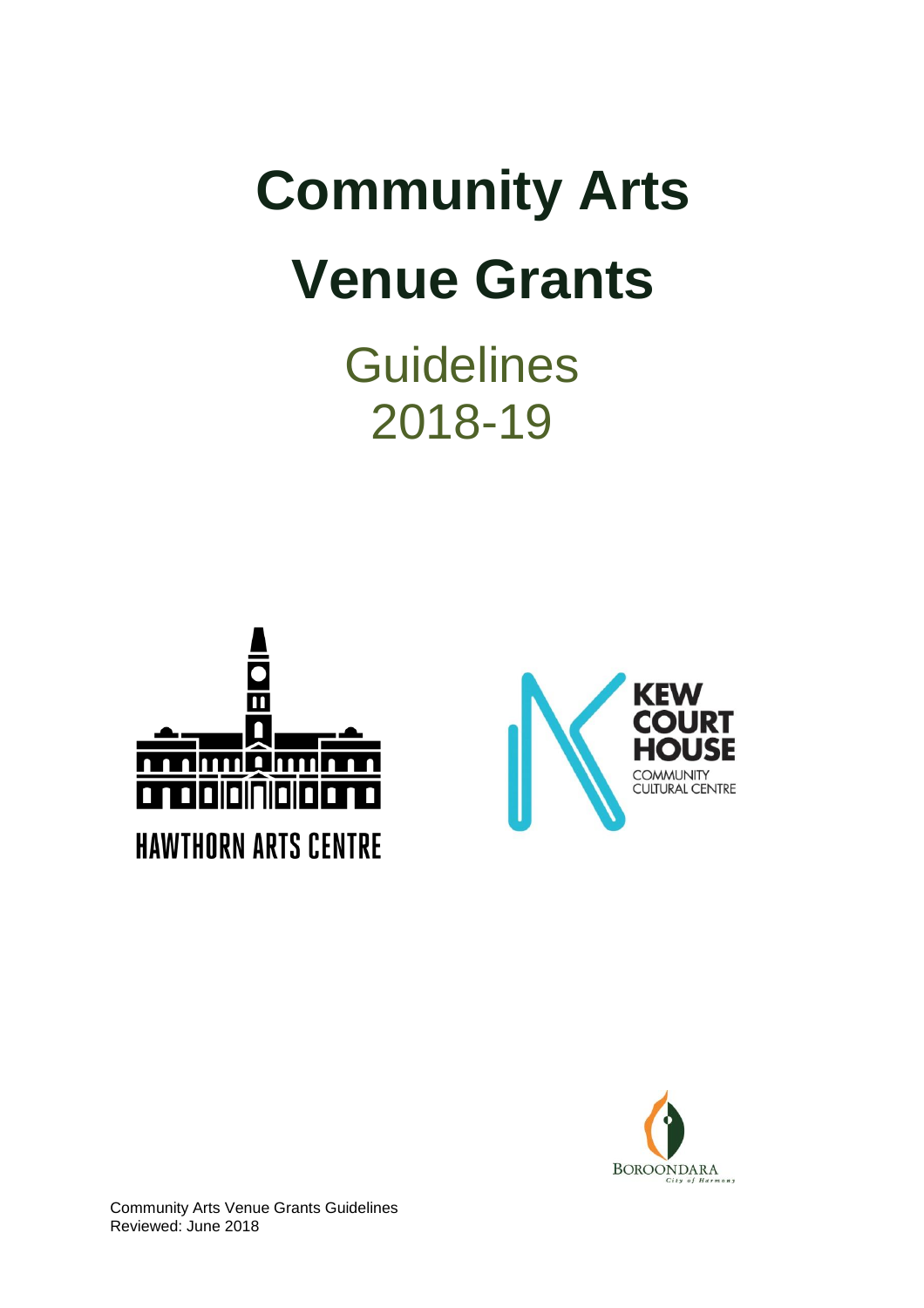# **Community Arts Venue Grants**

**Guidelines** 2018-19





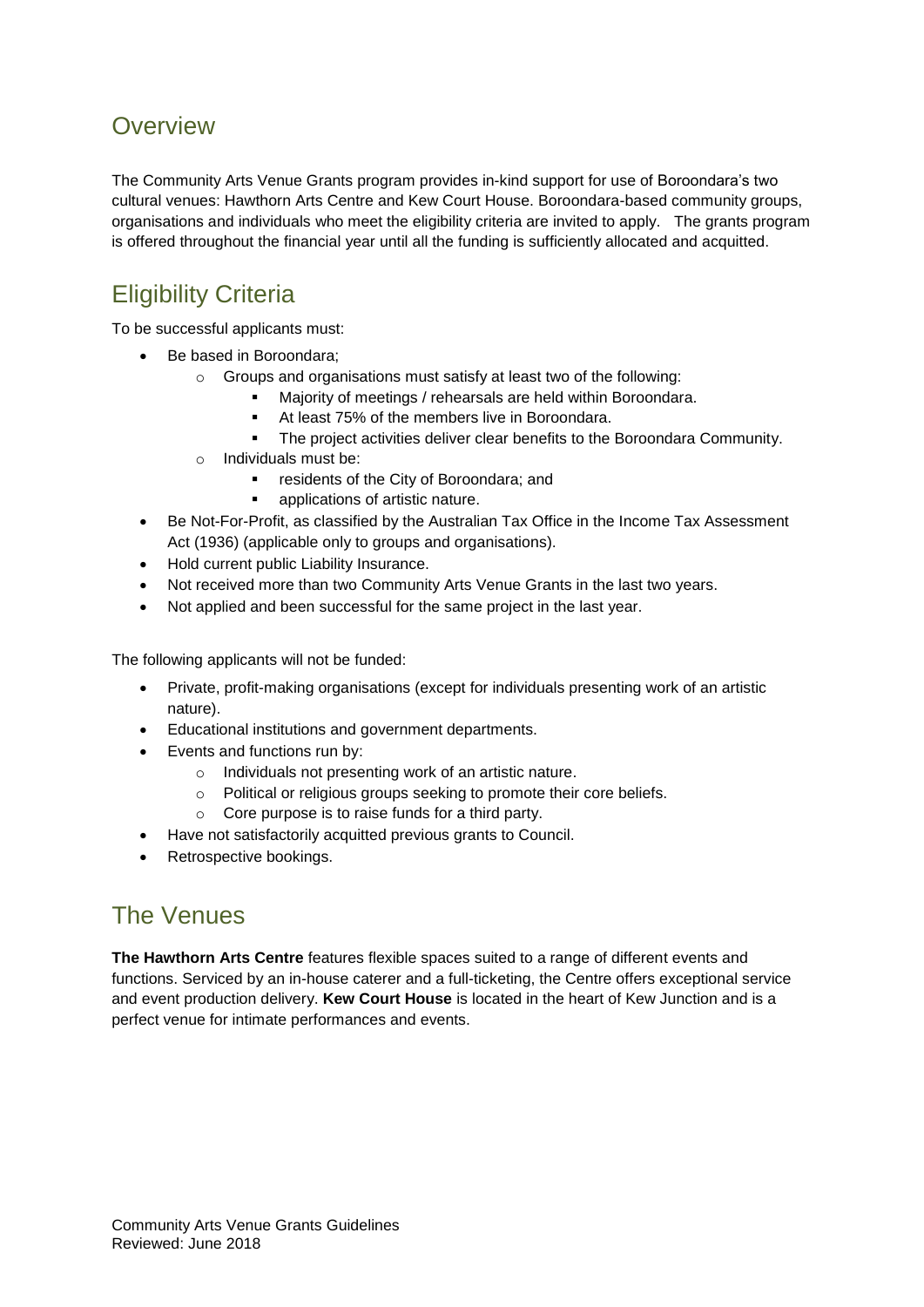## **Overview**

The Community Arts Venue Grants program provides in-kind support for use of Boroondara's two cultural venues: Hawthorn Arts Centre and Kew Court House. Boroondara-based community groups, organisations and individuals who meet the eligibility criteria are invited to apply. The grants program is offered throughout the financial year until all the funding is sufficiently allocated and acquitted.

# Eligibility Criteria

To be successful applicants must:

- Be based in Boroondara;
	- o Groups and organisations must satisfy at least two of the following:
		- Majority of meetings / rehearsals are held within Boroondara.
		- At least 75% of the members live in Boroondara.
		- The project activities deliver clear benefits to the Boroondara Community.
	- o Individuals must be:
		- residents of the City of Boroondara; and
		- applications of artistic nature.
- Be Not-For-Profit, as classified by the Australian Tax Office in the Income Tax Assessment Act (1936) (applicable only to groups and organisations).
- Hold current public Liability Insurance.
- Not received more than two Community Arts Venue Grants in the last two years.
- Not applied and been successful for the same project in the last year.

The following applicants will not be funded:

- Private, profit-making organisations (except for individuals presenting work of an artistic nature).
- Educational institutions and government departments.
- Events and functions run by:
	- o Individuals not presenting work of an artistic nature.
	- o Political or religious groups seeking to promote their core beliefs.
	- o Core purpose is to raise funds for a third party.
- Have not satisfactorily acquitted previous grants to Council.
- Retrospective bookings.

## The Venues

**The Hawthorn Arts Centre** features flexible spaces suited to a range of different events and functions. Serviced by an in-house caterer and a full-ticketing, the Centre offers exceptional service and event production delivery. **Kew Court House** is located in the heart of Kew Junction and is a perfect venue for intimate performances and events.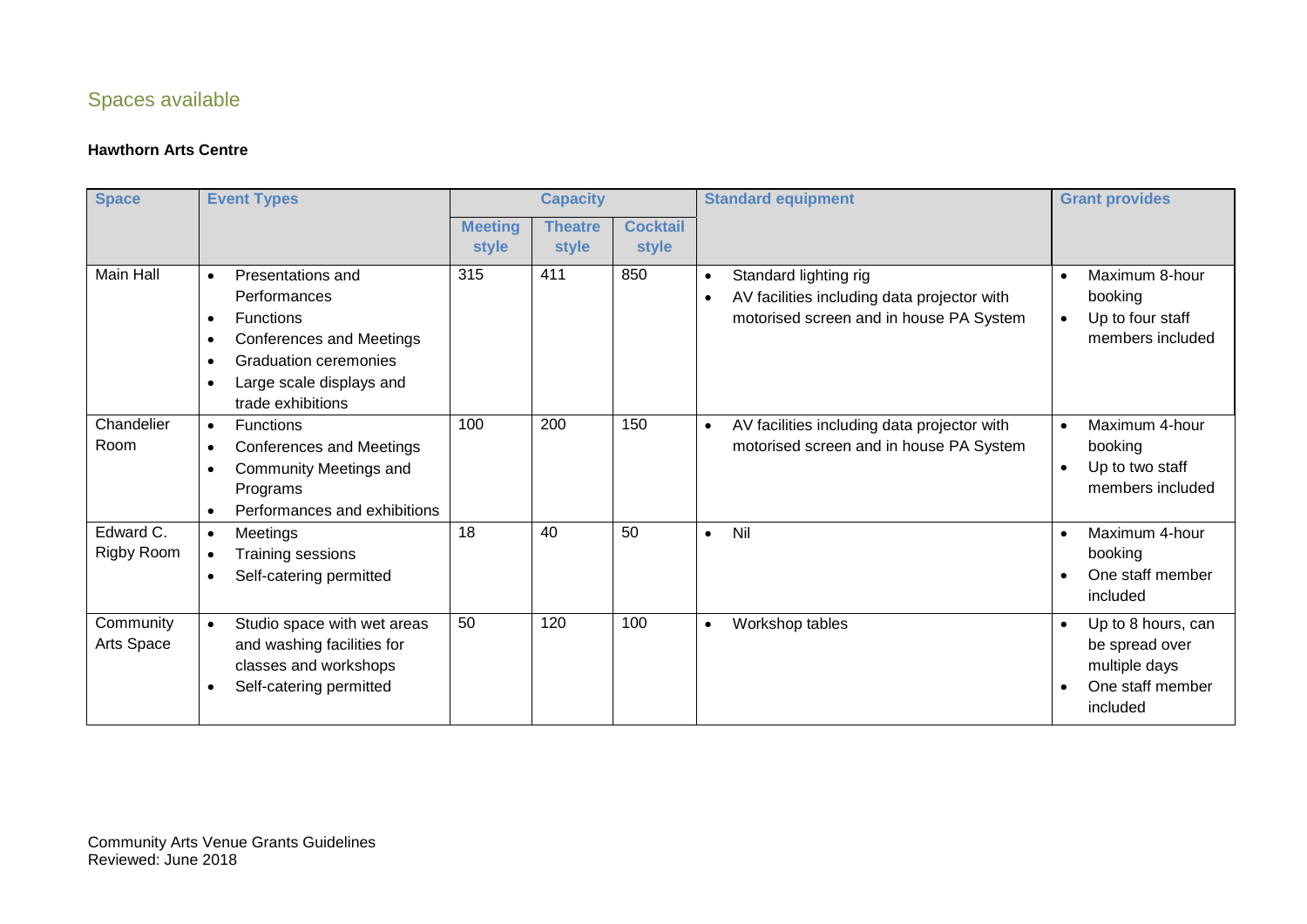## Spaces available

#### **Hawthorn Arts Centre**

| <b>Event Types</b><br><b>Space</b> |                                                                                                                                                                                                                                     | <b>Capacity</b>         |                         |                          | <b>Standard equipment</b>                                                                                                                 | <b>Grant provides</b>                                                                                           |  |
|------------------------------------|-------------------------------------------------------------------------------------------------------------------------------------------------------------------------------------------------------------------------------------|-------------------------|-------------------------|--------------------------|-------------------------------------------------------------------------------------------------------------------------------------------|-----------------------------------------------------------------------------------------------------------------|--|
|                                    |                                                                                                                                                                                                                                     | <b>Meeting</b><br>style | <b>Theatre</b><br>style | <b>Cocktail</b><br>style |                                                                                                                                           |                                                                                                                 |  |
| <b>Main Hall</b>                   | Presentations and<br>$\bullet$<br>Performances<br><b>Functions</b><br>$\bullet$<br>Conferences and Meetings<br>$\bullet$<br><b>Graduation ceremonies</b><br>$\bullet$<br>Large scale displays and<br>$\bullet$<br>trade exhibitions | 315                     | 411                     | 850                      | Standard lighting rig<br>$\bullet$<br>AV facilities including data projector with<br>$\bullet$<br>motorised screen and in house PA System | Maximum 8-hour<br>$\bullet$<br>booking<br>Up to four staff<br>$\bullet$<br>members included                     |  |
| Chandelier<br>Room                 | <b>Functions</b><br>$\bullet$<br><b>Conferences and Meetings</b><br>$\bullet$<br><b>Community Meetings and</b><br>$\bullet$<br>Programs<br>Performances and exhibitions<br>$\bullet$                                                | 100                     | 200                     | 150                      | AV facilities including data projector with<br>$\bullet$<br>motorised screen and in house PA System                                       | Maximum 4-hour<br>$\bullet$<br>booking<br>Up to two staff<br>$\bullet$<br>members included                      |  |
| Edward C.<br>Rigby Room            | Meetings<br>$\bullet$<br>Training sessions<br>$\bullet$<br>Self-catering permitted<br>$\bullet$                                                                                                                                     | 18                      | 40                      | 50                       | Nil<br>$\bullet$                                                                                                                          | Maximum 4-hour<br>$\bullet$<br>booking<br>One staff member<br>$\bullet$<br>included                             |  |
| Community<br>Arts Space            | Studio space with wet areas<br>$\bullet$<br>and washing facilities for<br>classes and workshops<br>Self-catering permitted                                                                                                          | 50                      | 120                     | 100                      | Workshop tables<br>$\bullet$                                                                                                              | Up to 8 hours, can<br>$\bullet$<br>be spread over<br>multiple days<br>One staff member<br>$\bullet$<br>included |  |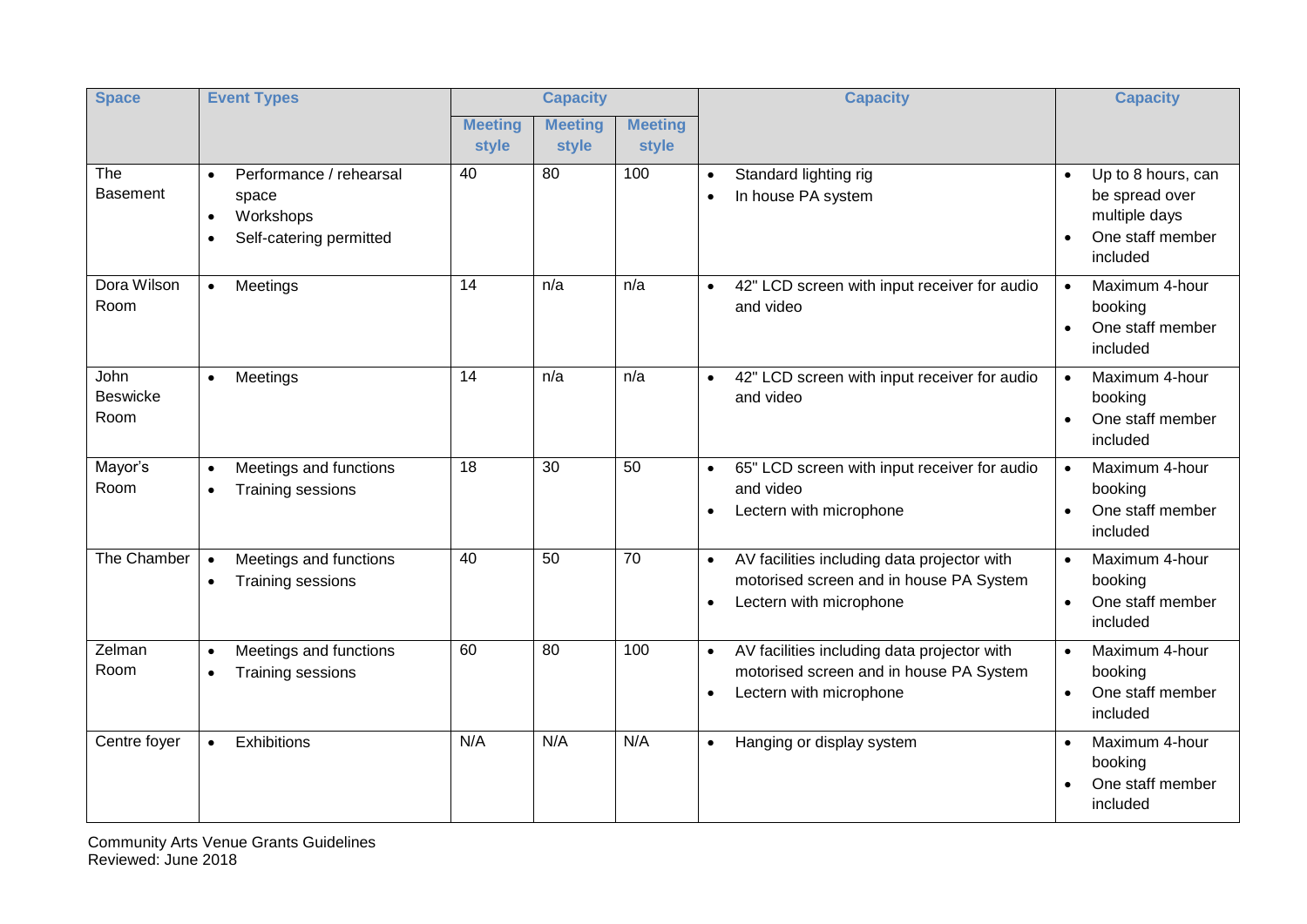| <b>Space</b>                           | <b>Event Types</b>                                                                                              | <b>Capacity</b>         |                         |                         | <b>Capacity</b><br><b>Capacity</b>                                                                                                                                                                                    |
|----------------------------------------|-----------------------------------------------------------------------------------------------------------------|-------------------------|-------------------------|-------------------------|-----------------------------------------------------------------------------------------------------------------------------------------------------------------------------------------------------------------------|
|                                        |                                                                                                                 | <b>Meeting</b><br>style | <b>Meeting</b><br>style | <b>Meeting</b><br>style |                                                                                                                                                                                                                       |
| The<br><b>Basement</b>                 | Performance / rehearsal<br>$\bullet$<br>space<br>Workshops<br>$\bullet$<br>Self-catering permitted<br>$\bullet$ | 40                      | 80                      | 100                     | Standard lighting rig<br>Up to 8 hours, can<br>$\bullet$<br>be spread over<br>In house PA system<br>$\bullet$<br>multiple days<br>One staff member<br>included                                                        |
| Dora Wilson<br>Room                    | Meetings<br>$\bullet$                                                                                           | 14                      | n/a                     | n/a                     | 42" LCD screen with input receiver for audio<br>Maximum 4-hour<br>$\bullet$<br>$\bullet$<br>and video<br>booking<br>One staff member<br>$\bullet$<br>included                                                         |
| <b>John</b><br><b>Beswicke</b><br>Room | Meetings<br>$\bullet$                                                                                           | 14                      | n/a                     | n/a                     | 42" LCD screen with input receiver for audio<br>Maximum 4-hour<br>$\bullet$<br>$\bullet$<br>and video<br>booking<br>One staff member<br>$\bullet$<br>included                                                         |
| Mayor's<br>Room                        | Meetings and functions<br>$\bullet$<br>Training sessions<br>$\bullet$                                           | 18                      | 30                      | 50                      | 65" LCD screen with input receiver for audio<br>Maximum 4-hour<br>$\bullet$<br>$\bullet$<br>and video<br>booking<br>One staff member<br>Lectern with microphone<br>$\bullet$<br>$\bullet$<br>included                 |
| The Chamber                            | Meetings and functions<br>$\bullet$<br>Training sessions<br>$\bullet$                                           | 40                      | 50                      | 70                      | AV facilities including data projector with<br>Maximum 4-hour<br>$\bullet$<br>$\bullet$<br>motorised screen and in house PA System<br>booking<br>One staff member<br>Lectern with microphone<br>$\bullet$<br>included |
| Zelman<br>Room                         | Meetings and functions<br>$\bullet$<br>Training sessions<br>$\bullet$                                           | 60                      | 80                      | 100                     | AV facilities including data projector with<br>Maximum 4-hour<br>$\bullet$<br>motorised screen and in house PA System<br>booking<br>One staff member<br>Lectern with microphone<br>$\bullet$<br>included              |
| Centre foyer                           | Exhibitions<br>$\bullet$                                                                                        | N/A                     | N/A                     | N/A                     | Maximum 4-hour<br>Hanging or display system<br>$\bullet$<br>booking<br>One staff member<br>included                                                                                                                   |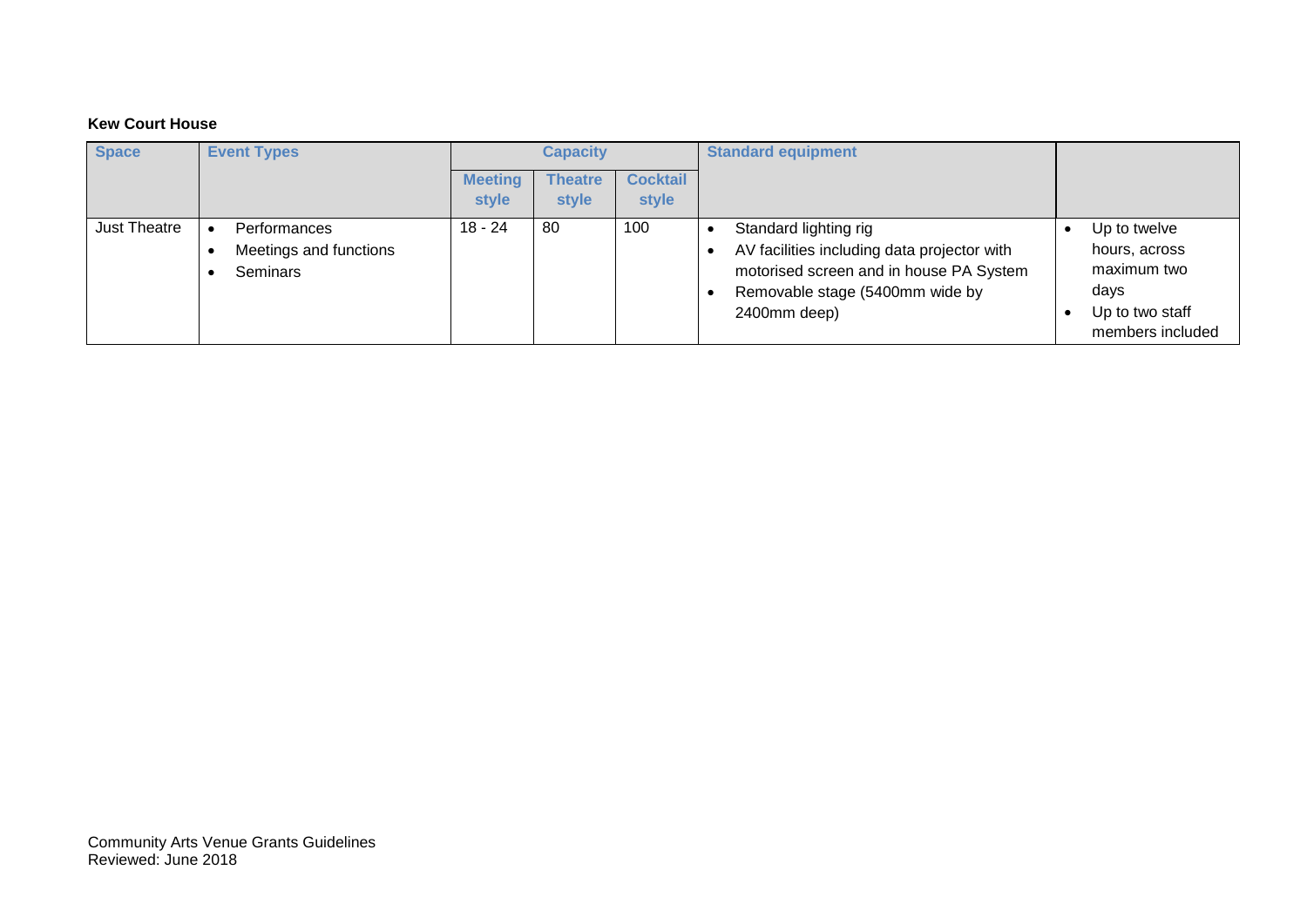#### **Kew Court House**

| <b>Space</b> | <b>Event Types</b>                                 | Capacity                |                         |                          | <b>Standard equipment</b>                                                                                                                                          |                                                                                             |
|--------------|----------------------------------------------------|-------------------------|-------------------------|--------------------------|--------------------------------------------------------------------------------------------------------------------------------------------------------------------|---------------------------------------------------------------------------------------------|
|              |                                                    | <b>Meeting</b><br>style | <b>Theatre</b><br>style | <b>Cocktail</b><br>style |                                                                                                                                                                    |                                                                                             |
| Just Theatre | Performances<br>Meetings and functions<br>Seminars | $18 - 24$               | 80                      | 100                      | Standard lighting rig<br>AV facilities including data projector with<br>motorised screen and in house PA System<br>Removable stage (5400mm wide by<br>2400mm deep) | Up to twelve<br>hours, across<br>maximum two<br>days<br>Up to two staff<br>members included |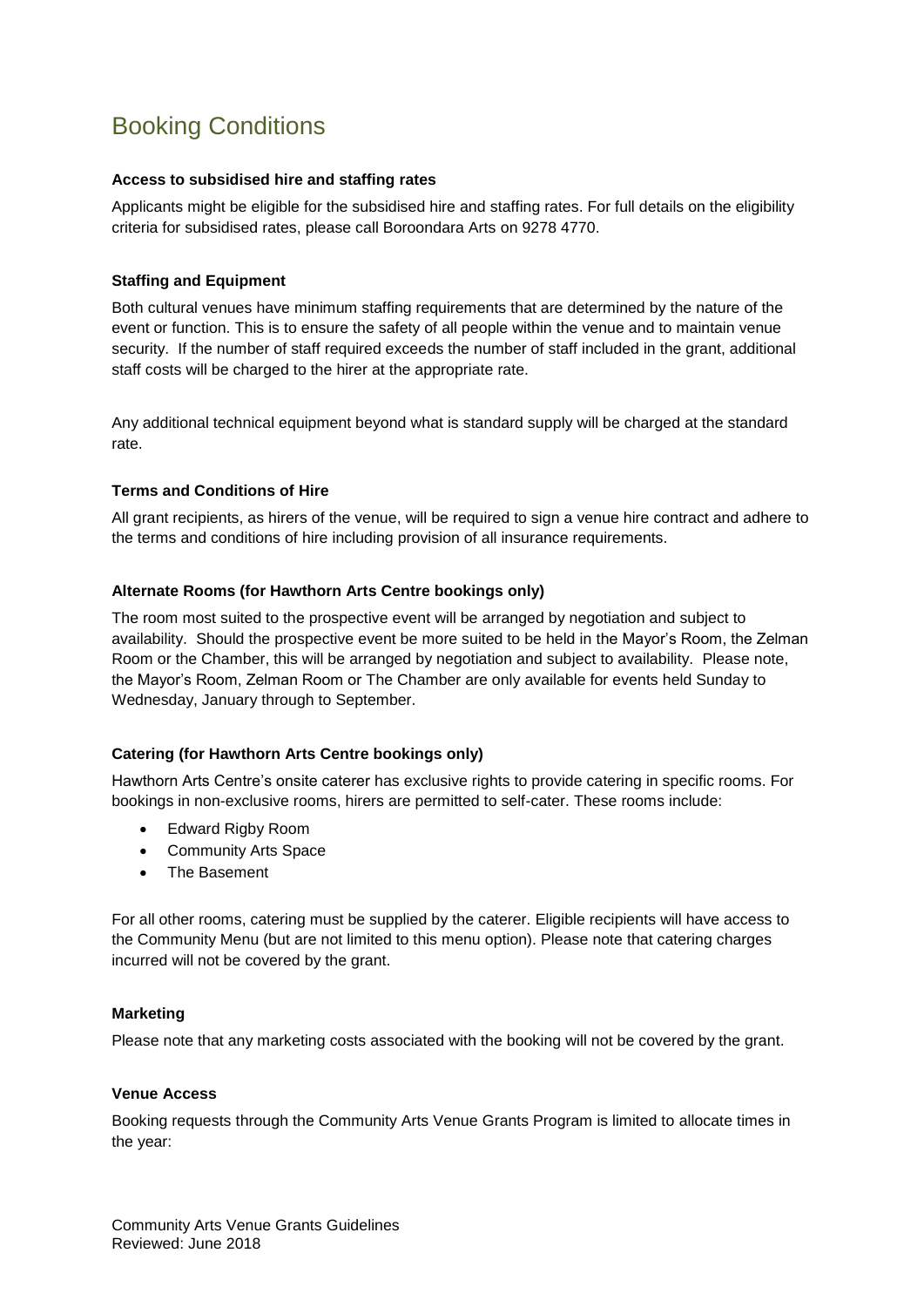## Booking Conditions

#### **Access to subsidised hire and staffing rates**

Applicants might be eligible for the subsidised hire and staffing rates. For full details on the eligibility criteria for subsidised rates, please call Boroondara Arts on 9278 4770.

#### **Staffing and Equipment**

Both cultural venues have minimum staffing requirements that are determined by the nature of the event or function. This is to ensure the safety of all people within the venue and to maintain venue security. If the number of staff required exceeds the number of staff included in the grant, additional staff costs will be charged to the hirer at the appropriate rate.

Any additional technical equipment beyond what is standard supply will be charged at the standard rate.

#### **Terms and Conditions of Hire**

All grant recipients, as hirers of the venue, will be required to sign a venue hire contract and adhere to the terms and conditions of hire including provision of all insurance requirements.

#### **Alternate Rooms (for Hawthorn Arts Centre bookings only)**

The room most suited to the prospective event will be arranged by negotiation and subject to availability. Should the prospective event be more suited to be held in the Mayor's Room, the Zelman Room or the Chamber, this will be arranged by negotiation and subject to availability. Please note, the Mayor's Room, Zelman Room or The Chamber are only available for events held Sunday to Wednesday, January through to September.

#### **Catering (for Hawthorn Arts Centre bookings only)**

Hawthorn Arts Centre's onsite caterer has exclusive rights to provide catering in specific rooms. For bookings in non-exclusive rooms, hirers are permitted to self-cater. These rooms include:

- Edward Rigby Room
- Community Arts Space
- The Basement

For all other rooms, catering must be supplied by the caterer. Eligible recipients will have access to the Community Menu (but are not limited to this menu option). Please note that catering charges incurred will not be covered by the grant.

#### **Marketing**

Please note that any marketing costs associated with the booking will not be covered by the grant.

#### **Venue Access**

Booking requests through the Community Arts Venue Grants Program is limited to allocate times in the year: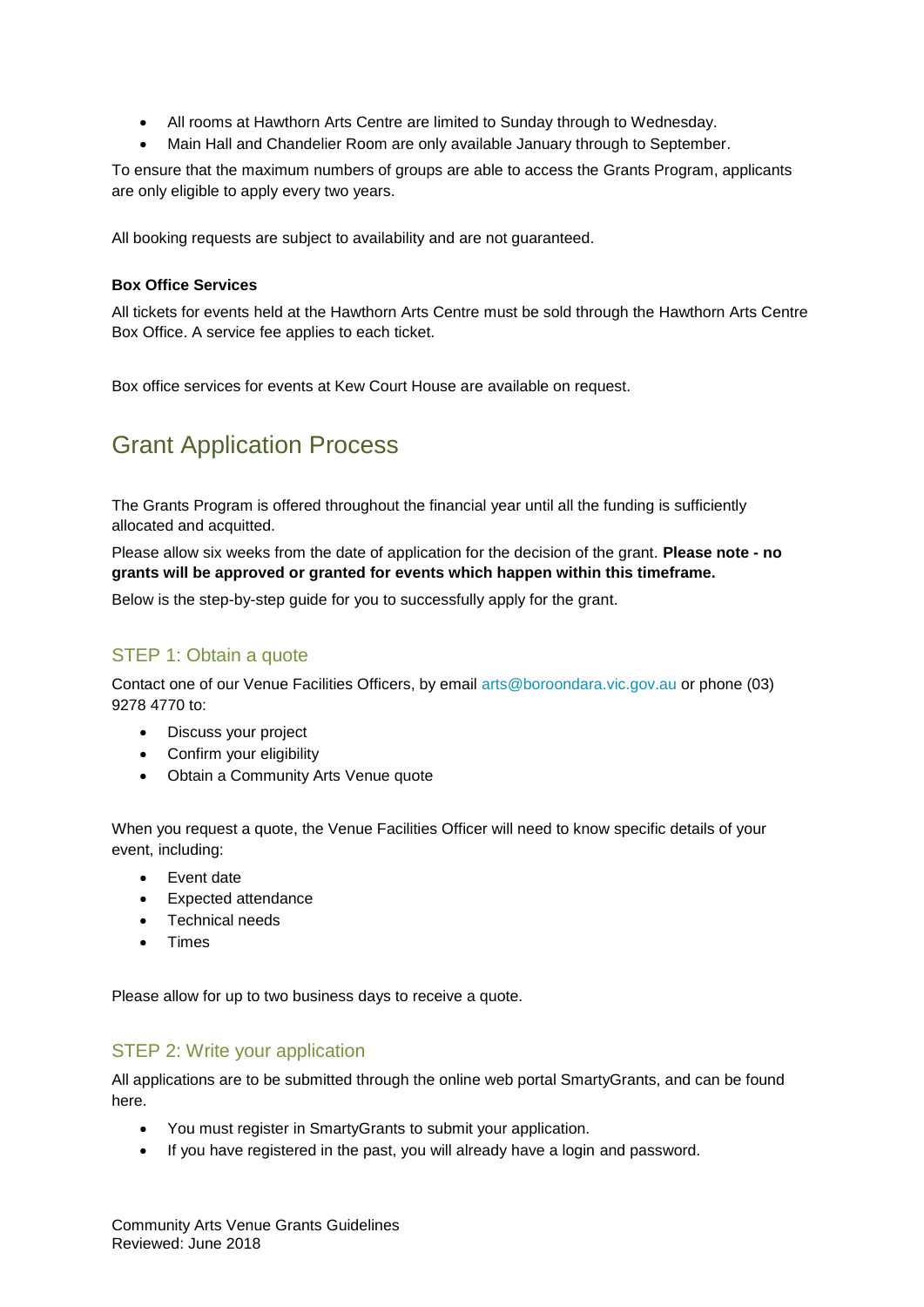- All rooms at Hawthorn Arts Centre are limited to Sunday through to Wednesday.
- Main Hall and Chandelier Room are only available January through to September.

To ensure that the maximum numbers of groups are able to access the Grants Program, applicants are only eligible to apply every two years.

All booking requests are subject to availability and are not guaranteed.

#### **Box Office Services**

All tickets for events held at the Hawthorn Arts Centre must be sold through the Hawthorn Arts Centre Box Office. A service fee applies to each ticket.

Box office services for events at Kew Court House are available on request.

## Grant Application Process

The Grants Program is offered throughout the financial year until all the funding is sufficiently allocated and acquitted.

Please allow six weeks from the date of application for the decision of the grant. **Please note - no grants will be approved or granted for events which happen within this timeframe.**

Below is the step-by-step guide for you to successfully apply for the grant.

#### STEP 1: Obtain a quote

Contact one of our Venue Facilities Officers, by email [arts@boroondara.vic.gov.au](mailto:arts@boroondara.vic.gov.au) or phone (03) 9278 4770 to:

- Discuss your project
- Confirm your eligibility
- Obtain a Community Arts Venue quote

When you request a quote, the Venue Facilities Officer will need to know specific details of your event, including:

- Event date
- Expected attendance
- Technical needs
- Times

Please allow for up to two business days to receive a quote.

#### STEP 2: Write your application

All applications are to be submitted through the online web portal SmartyGrants, and can be found here.

- You must register in SmartyGrants to submit your application.
- If you have registered in the past, you will already have a login and password.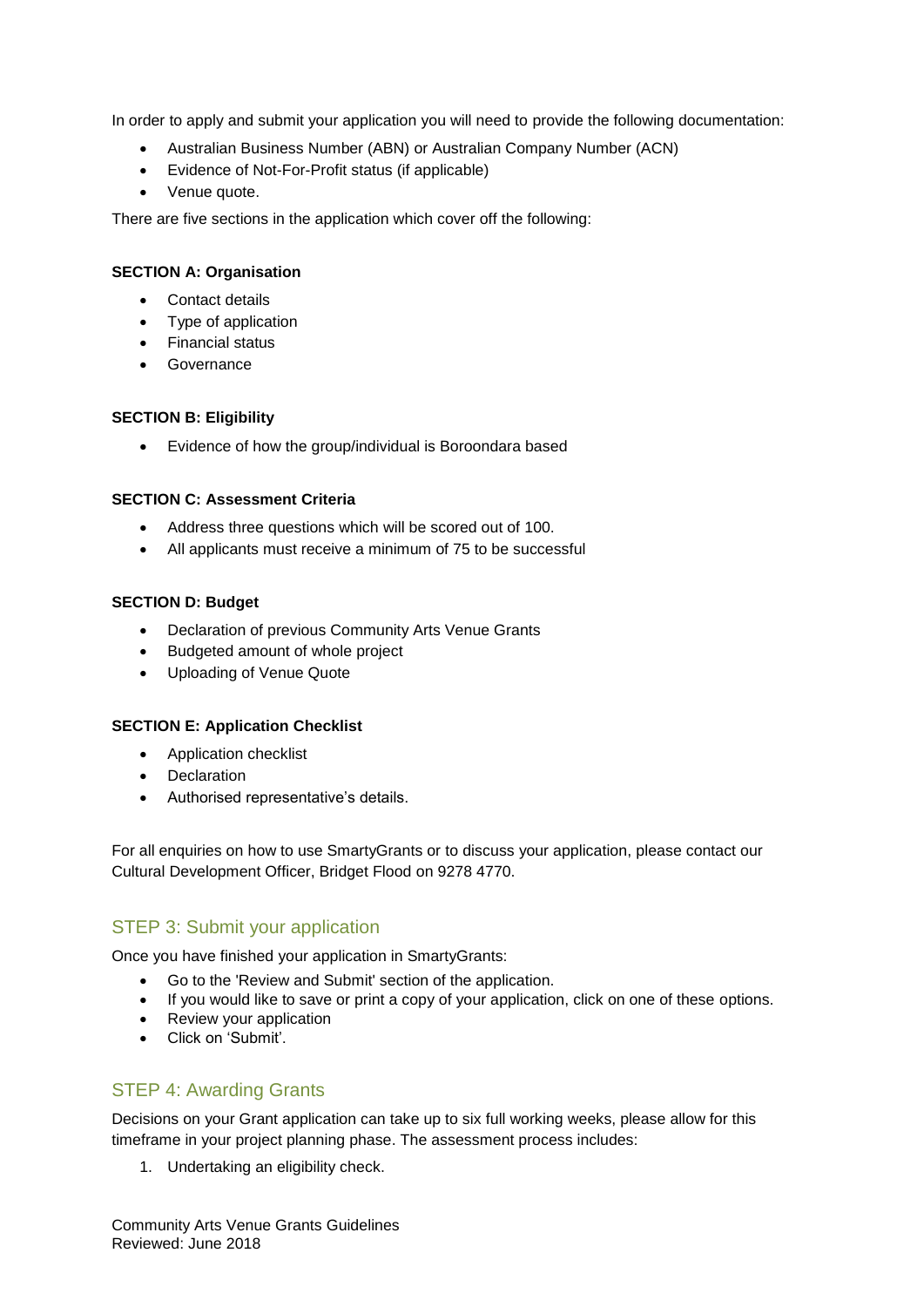In order to apply and submit your application you will need to provide the following documentation:

- Australian Business Number (ABN) or Australian Company Number (ACN)
- Evidence of Not-For-Profit status (if applicable)
- Venue quote.

There are five sections in the application which cover off the following:

#### **SECTION A: Organisation**

- Contact details
- Type of application
- Financial status
- **•** Governance

#### **SECTION B: Eligibility**

Evidence of how the group/individual is Boroondara based

#### **SECTION C: Assessment Criteria**

- Address three questions which will be scored out of 100.
- All applicants must receive a minimum of 75 to be successful

#### **SECTION D: Budget**

- Declaration of previous Community Arts Venue Grants
- Budgeted amount of whole project
- Uploading of Venue Quote

#### **SECTION E: Application Checklist**

- Application checklist
- Declaration
- Authorised representative's details.

For all enquiries on how to use SmartyGrants or to discuss your application, please contact our Cultural Development Officer, Bridget Flood on 9278 4770.

#### STEP 3: Submit your application

Once you have finished your application in SmartyGrants:

- Go to the 'Review and Submit' section of the application.
- If you would like to save or print a copy of your application, click on one of these options.
- Review your application
- Click on 'Submit'.

#### STEP 4: Awarding Grants

Decisions on your Grant application can take up to six full working weeks, please allow for this timeframe in your project planning phase. The assessment process includes:

1. Undertaking an eligibility check.